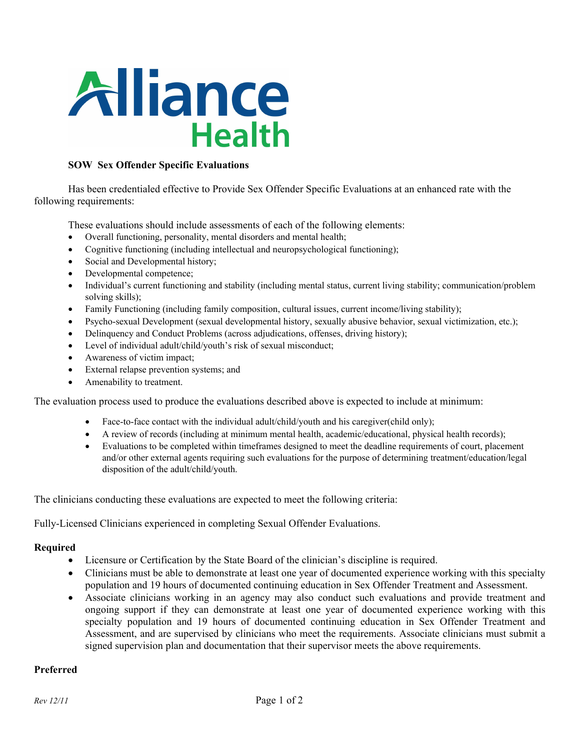

### **SOW Sex Offender Specific Evaluations**

Has been credentialed effective to Provide Sex Offender Specific Evaluations at an enhanced rate with the following requirements:

These evaluations should include assessments of each of the following elements:

- Overall functioning, personality, mental disorders and mental health;
- Cognitive functioning (including intellectual and neuropsychological functioning);
- Social and Developmental history;
- Developmental competence;
- Individual's current functioning and stability (including mental status, current living stability; communication/problem solving skills);
- Family Functioning (including family composition, cultural issues, current income/living stability);
- Psycho-sexual Development (sexual developmental history, sexually abusive behavior, sexual victimization, etc.);
- Delinquency and Conduct Problems (across adjudications, offenses, driving history);
- Level of individual adult/child/youth's risk of sexual misconduct;
- Awareness of victim impact;
- External relapse prevention systems; and
- Amenability to treatment.

The evaluation process used to produce the evaluations described above is expected to include at minimum:

- Face-to-face contact with the individual adult/child/youth and his caregiver(child only);
- A review of records (including at minimum mental health, academic/educational, physical health records);
- Evaluations to be completed within timeframes designed to meet the deadline requirements of court, placement and/or other external agents requiring such evaluations for the purpose of determining treatment/education/legal disposition of the adult/child/youth.

The clinicians conducting these evaluations are expected to meet the following criteria:

Fully-Licensed Clinicians experienced in completing Sexual Offender Evaluations.

#### **Required**

- Licensure or Certification by the State Board of the clinician's discipline is required.
- Clinicians must be able to demonstrate at least one year of documented experience working with this specialty population and 19 hours of documented continuing education in Sex Offender Treatment and Assessment.
- Associate clinicians working in an agency may also conduct such evaluations and provide treatment and ongoing support if they can demonstrate at least one year of documented experience working with this specialty population and 19 hours of documented continuing education in Sex Offender Treatment and Assessment, and are supervised by clinicians who meet the requirements. Associate clinicians must submit a signed supervision plan and documentation that their supervisor meets the above requirements.

### **Preferred**